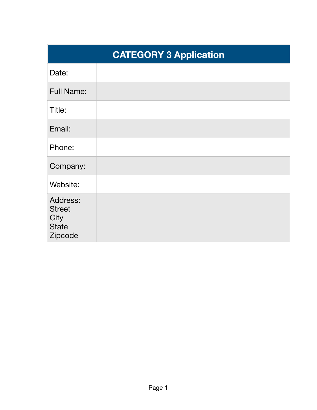| <b>CATEGORY 3 Application</b>                                       |  |
|---------------------------------------------------------------------|--|
| Date:                                                               |  |
| <b>Full Name:</b>                                                   |  |
| Title:                                                              |  |
| Email:                                                              |  |
| Phone:                                                              |  |
| Company:                                                            |  |
| Website:                                                            |  |
| <b>Address:</b><br><b>Street</b><br>City<br><b>State</b><br>Zipcode |  |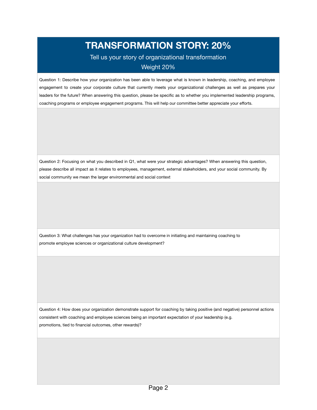# **TRANSFORMATION STORY: 20%**

#### Tell us your story of organizational transformation Weight 20%

Question 1: Describe how your organization has been able to leverage what is known in leadership, coaching, and employee engagement to create your corporate culture that currently meets your organizational challenges as well as prepares your leaders for the future? When answering this question, please be specific as to whether you implemented leadership programs, coaching programs or employee engagement programs. This will help our committee better appreciate your efforts.

Question 2: Focusing on what you described in Q1, what were your strategic advantages? When answering this question, please describe all impact as it relates to employees, management, external stakeholders, and your social community. By social community we mean the larger environmental and social context

Question 3: What challenges has your organization had to overcome in initiating and maintaining coaching to promote employee sciences or organizational culture development?

Question 4: How does your organization demonstrate support for coaching by taking positive (and negative) personnel actions consistent with coaching and employee sciences being an important expectation of your leadership (e.g. promotions, tied to financial outcomes, other rewards)?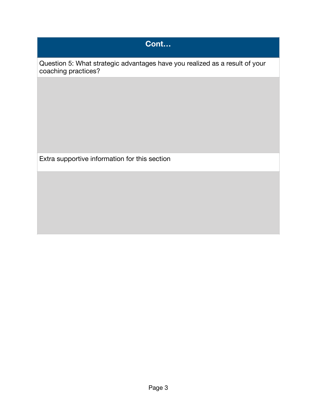Question 5: What strategic advantages have you realized as a result of your coaching practices?

Extra supportive information for this section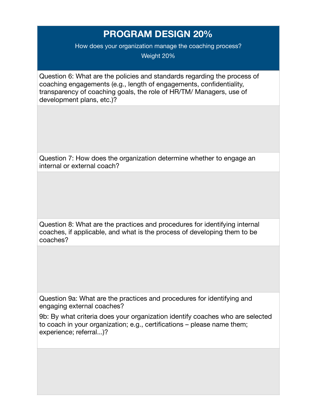# **PROGRAM DESIGN 20%**

How does your organization manage the coaching process?

Weight 20%

Question 6: What are the policies and standards regarding the process of coaching engagements (e.g., length of engagements, confidentiality, transparency of coaching goals, the role of HR/TM/ Managers, use of development plans, etc.)?

Question 7: How does the organization determine whether to engage an internal or external coach?

Question 8: What are the practices and procedures for identifying internal coaches, if applicable, and what is the process of developing them to be coaches?

Question 9a: What are the practices and procedures for identifying and engaging external coaches?

9b: By what criteria does your organization identify coaches who are selected to coach in your organization; e.g., certifications – please name them; experience; referral...)?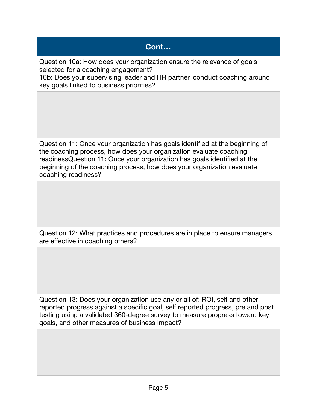Question 10a: How does your organization ensure the relevance of goals selected for a coaching engagement? 10b: Does your supervising leader and HR partner, conduct coaching around key goals linked to business priorities?

Question 11: Once your organization has goals identified at the beginning of the coaching process, how does your organization evaluate coaching readinessQuestion 11: Once your organization has goals identified at the beginning of the coaching process, how does your organization evaluate coaching readiness?

Question 12: What practices and procedures are in place to ensure managers are effective in coaching others?

Question 13: Does your organization use any or all of: ROI, self and other reported progress against a specific goal, self reported progress, pre and post testing using a validated 360-degree survey to measure progress toward key goals, and other measures of business impact?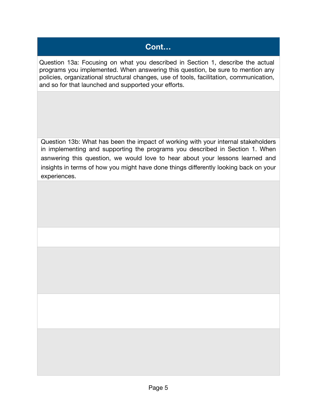Question 13a: Focusing on what you described in Section 1, describe the actual programs you implemented. When answering this question, be sure to mention any policies, organizational structural changes, use of tools, facilitation, communication, and so for that launched and supported your efforts.

Question 13b: What has been the impact of working with your internal stakeholders in implementing and supporting the programs you described in Section 1. When asnwering this question, we would love to hear about your lessons learned and insights in terms of how you might have done things differently looking back on your experiences.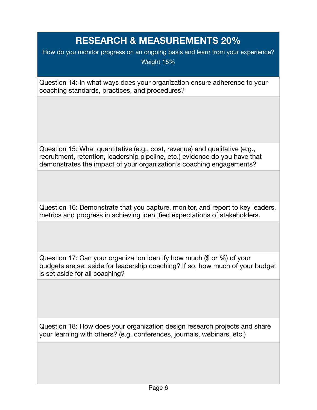# **RESEARCH & MEASUREMENTS 20%**

How do you monitor progress on an ongoing basis and learn from your experience?

Weight 15%

Question 14: In what ways does your organization ensure adherence to your coaching standards, practices, and procedures?

Question 15: What quantitative (e.g., cost, revenue) and qualitative (e.g., recruitment, retention, leadership pipeline, etc.) evidence do you have that demonstrates the impact of your organization's coaching engagements?

Question 16: Demonstrate that you capture, monitor, and report to key leaders, metrics and progress in achieving identified expectations of stakeholders.

Question 17: Can your organization identify how much (\$ or %) of your budgets are set aside for leadership coaching? If so, how much of your budget is set aside for all coaching?

Question 18: How does your organization design research projects and share your learning with others? (e.g. conferences, journals, webinars, etc.)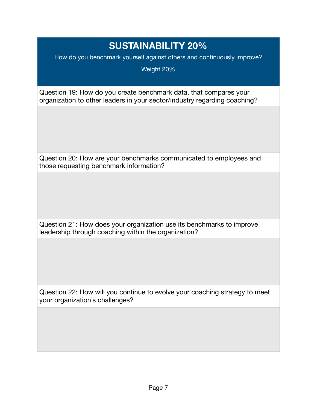# **SUSTAINABILITY 20%**

How do you benchmark yourself against others and continuously improve?

Weight 20%

Question 19: How do you create benchmark data, that compares your organization to other leaders in your sector/industry regarding coaching?

Question 20: How are your benchmarks communicated to employees and those requesting benchmark information?

Question 21: How does your organization use its benchmarks to improve leadership through coaching within the organization?

Question 22: How will you continue to evolve your coaching strategy to meet your organization's challenges?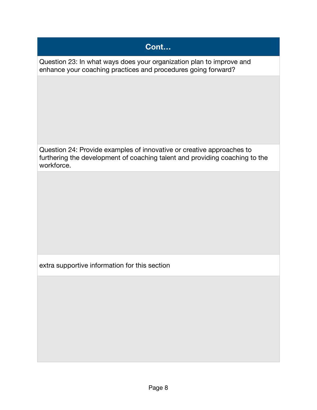Question 23: In what ways does your organization plan to improve and enhance your coaching practices and procedures going forward?

Question 24: Provide examples of innovative or creative approaches to furthering the development of coaching talent and providing coaching to the workforce.

extra supportive information for this section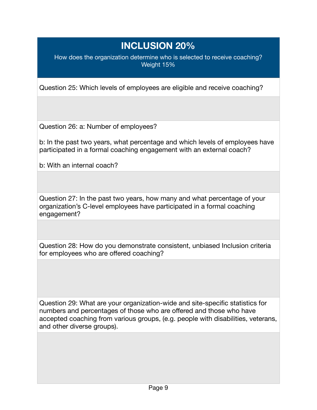# **INCLUSION 20%**

How does the organization determine who is selected to receive coaching? Weight 15%

Question 25: Which levels of employees are eligible and receive coaching?

Question 26: a: Number of employees?

b: In the past two years, what percentage and which levels of employees have participated in a formal coaching engagement with an external coach?

b: With an internal coach?

Question 27: In the past two years, how many and what percentage of your organization's C-level employees have participated in a formal coaching engagement?

Question 28: How do you demonstrate consistent, unbiased Inclusion criteria for employees who are offered coaching?

Question 29: What are your organization-wide and site-specific statistics for numbers and percentages of those who are offered and those who have accepted coaching from various groups, (e.g. people with disabilities, veterans, and other diverse groups).